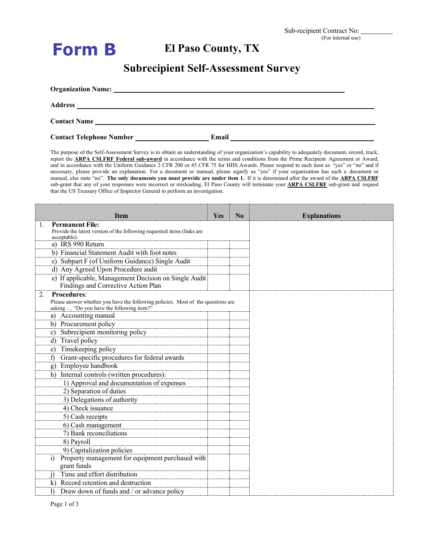| orm |  |
|-----|--|
|-----|--|

## **El Paso County, TX**

## **Subrecipient Self-Assessment Survey**

| Address<br><u> 1980 - Jan Alexandro Alexandro Alexandro III (m. 1980)</u> |       |  |
|---------------------------------------------------------------------------|-------|--|
|                                                                           |       |  |
| <b>Contact Telephone Number</b>                                           | Email |  |

The purpose of the Self-Assessment Survey is to obtain an understanding of your organization's capability to adequately document, record, track, report the **ARPA CSLFRF Federal sub-award** in accordance with the terms and conditions from the Prime Recipient Agreement or Award, and in accordance with the Uniform Guidance 2 CFR 200 or 45 CFR 75 for HHS Awards. Please respond to each item as "yes" or "no" and if necessary, please provide an explanation. For a document or manual, please signify as "yes" if your organization has such a document or manual, else state "no". **The only documents you must provide are under item 1.** If it is determined after the award of the **ARPA CSLFRF** sub-grant that any of your responses were incorrect or misleading, El Paso County will terminate your **ARPA CSLFRF** sub-grant and request that the US Treasury Office of Inspector General to perform an investigation.

| Item                                                                                                                          | Yes | N <sub>0</sub> | <b>Explanations</b> |
|-------------------------------------------------------------------------------------------------------------------------------|-----|----------------|---------------------|
| <b>Permanent File:</b><br>Provide the latest version of the following requested items (links are<br>acceptable):              |     |                |                     |
| a) IRS 990 Return                                                                                                             |     |                |                     |
| b) Financial Statement Audit with foot notes                                                                                  |     |                |                     |
| c) Subpart F (of Uniform Guidance) Single Audit                                                                               |     |                |                     |
| d) Any Agreed Upon Procedure audit                                                                                            |     |                |                     |
| e) If applicable, Management Decision on Single Audit<br>Findings and Corrective Action Plan                                  |     |                |                     |
| <b>Procedures:</b><br>2.                                                                                                      |     |                |                     |
| Please answer whether you have the following policies. Most of the questions are<br>asking  "Do you have the following item?" |     |                |                     |
| a) Accounting manual                                                                                                          |     |                |                     |
| b) Procurement policy                                                                                                         |     |                |                     |
| c) Subrecipient monitoring policy                                                                                             |     |                |                     |
| d) Travel policy                                                                                                              |     |                |                     |
| e) Timekeeping policy                                                                                                         |     |                |                     |
| Grant-specific procedures for federal awards<br>t)                                                                            |     |                |                     |
| Employee handbook<br>$\mathfrak{g}$ )                                                                                         |     |                |                     |
| h) Internal controls (written procedures):                                                                                    |     |                |                     |
| 1) Approval and documentation of expenses                                                                                     |     |                |                     |
| 2) Separation of duties                                                                                                       |     |                |                     |
| 3) Delegations of authority                                                                                                   |     |                |                     |
| 4) Check issuance                                                                                                             |     |                |                     |
| 5) Cash receipts                                                                                                              |     |                |                     |
| 6) Cash management                                                                                                            |     |                |                     |
| 7) Bank reconciliations                                                                                                       |     |                |                     |
| 8) Payroll                                                                                                                    |     |                |                     |
| 9) Capitalization policies                                                                                                    |     |                |                     |
| Property management for equipment purchased with                                                                              |     |                |                     |
| grant funds                                                                                                                   |     |                |                     |
| Time and effort distribution<br>1)                                                                                            |     |                |                     |
| k) Record retention and destruction                                                                                           |     |                |                     |
| 1) Draw down of funds and / or advance policy                                                                                 |     |                |                     |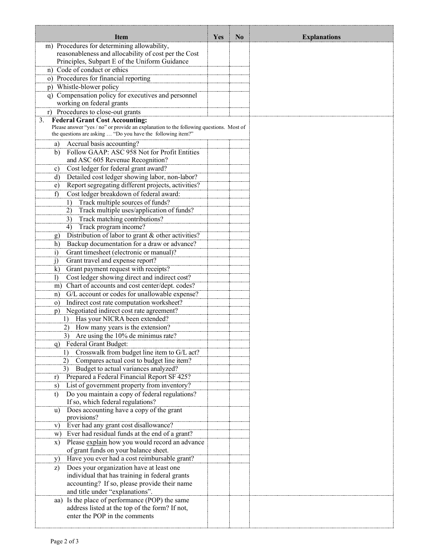| Item                                                                                                                                  | <b>Yes</b> | N <sub>0</sub> | <b>Explanations</b> |
|---------------------------------------------------------------------------------------------------------------------------------------|------------|----------------|---------------------|
| m) Procedures for determining allowability,                                                                                           |            |                |                     |
| reasonableness and allocability of cost per the Cost                                                                                  |            |                |                     |
| Principles, Subpart E of the Uniform Guidance                                                                                         |            |                |                     |
| n) Code of conduct or ethics                                                                                                          |            |                |                     |
| o) Procedures for financial reporting                                                                                                 |            |                |                     |
| p) Whistle-blower policy                                                                                                              |            |                |                     |
| q) Compensation policy for executives and personnel                                                                                   |            |                |                     |
| working on federal grants                                                                                                             |            |                |                     |
| r) Procedures to close-out grants                                                                                                     |            |                |                     |
| <b>Federal Grant Cost Accounting:</b><br>3.<br>Please answer "yes / no" or provide an explanation to the following questions. Most of |            |                |                     |
| the questions are asking  "Do you have the following item?"                                                                           |            |                |                     |
| Accrual basis accounting?<br>a)                                                                                                       |            |                |                     |
| Follow GAAP: ASC 958 Not for Profit Entities<br>b)                                                                                    |            |                |                     |
| and ASC 605 Revenue Recognition?                                                                                                      |            |                |                     |
| Cost ledger for federal grant award?<br>c)                                                                                            |            |                |                     |
| Detailed cost ledger showing labor, non-labor?<br>d)                                                                                  |            |                |                     |
| Report segregating different projects, activities?<br>e)                                                                              |            |                |                     |
| Cost ledger breakdown of federal award:<br>f                                                                                          |            |                |                     |
| Track multiple sources of funds?<br>1)                                                                                                |            |                |                     |
| Track multiple uses/application of funds?<br>2)                                                                                       |            |                |                     |
| Track matching contributions?<br>3)                                                                                                   |            |                |                     |
| Track program income?<br>4)                                                                                                           |            |                |                     |
| Distribution of labor to grant & other activities?<br>g)                                                                              |            |                |                     |
| Backup documentation for a draw or advance?<br>h)                                                                                     |            |                |                     |
| Grant timesheet (electronic or manual)?<br>$\ddot{1}$                                                                                 |            |                |                     |
| Grant travel and expense report?<br>j)                                                                                                |            |                |                     |
| Grant payment request with receipts?<br>$\bf k)$                                                                                      |            |                |                     |
| Cost ledger showing direct and indirect cost?<br>$\overline{1}$                                                                       |            |                |                     |
| m) Chart of accounts and cost center/dept. codes?                                                                                     |            |                |                     |
| G/L account or codes for unallowable expense?<br>n)                                                                                   |            |                |                     |
| Indirect cost rate computation worksheet?<br>$\circ$ )                                                                                |            |                |                     |
| Negotiated indirect cost rate agreement?<br>p)                                                                                        |            |                |                     |
| Has your NICRA been extended?<br>$\left( \frac{1}{2} \right)$                                                                         |            |                |                     |
| 2)<br>How many years is the extension?                                                                                                |            |                |                     |
| Are using the 10% de minimus rate?<br>3)                                                                                              |            |                |                     |
| q) Federal Grant Budget:<br>Crosswalk from budget line item to G/L act?<br>$\overline{1}$                                             |            |                |                     |
|                                                                                                                                       |            |                |                     |
| Compares actual cost to budget line item?<br>2)<br>3)<br>Budget to actual variances analyzed?                                         |            |                |                     |
| Prepared a Federal Financial Report SF 425?<br>r)                                                                                     |            |                |                     |
| List of government property from inventory?<br>s)                                                                                     |            |                |                     |
| Do you maintain a copy of federal regulations?<br>t)                                                                                  |            |                |                     |
| If so, which federal regulations?                                                                                                     |            |                |                     |
| Does accounting have a copy of the grant<br>u)                                                                                        |            |                |                     |
| provisions?                                                                                                                           |            |                |                     |
| Ever had any grant cost disallowance?<br>V)                                                                                           |            |                |                     |
| Ever had residual funds at the end of a grant?<br>W)                                                                                  |            |                |                     |
| Please explain how you would record an advance<br>$\mathbf{x})$                                                                       |            |                |                     |
| of grant funds on your balance sheet.                                                                                                 |            |                |                     |
| Have you ever had a cost reimbursable grant?<br>y)                                                                                    |            |                |                     |
| Does your organization have at least one<br>z)                                                                                        |            |                |                     |
| individual that has training in federal grants                                                                                        |            |                |                     |
| accounting? If so, please provide their name                                                                                          |            |                |                     |
| and title under "explanations".                                                                                                       |            |                |                     |
| Is the place of performance (POP) the same<br>aa)<br>address listed at the top of the form? If not,                                   |            |                |                     |
| enter the POP in the comments                                                                                                         |            |                |                     |
|                                                                                                                                       |            |                |                     |